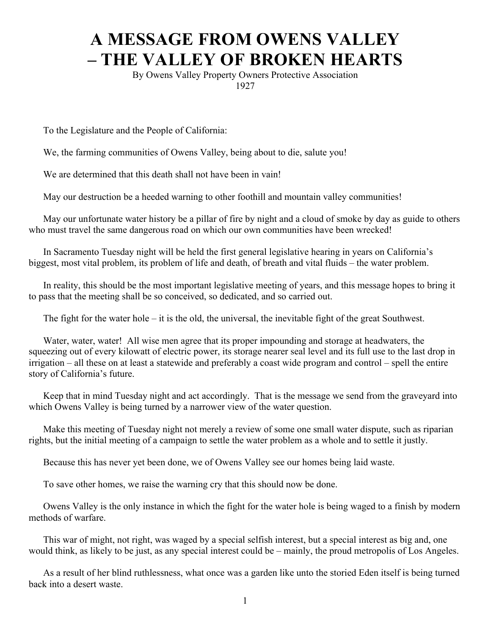## **A MESSAGE FROM OWENS VALLEY – THE VALLEY OF BROKEN HEARTS**

By Owens Valley Property Owners Protective Association 1927

To the Legislature and the People of California:

We, the farming communities of Owens Valley, being about to die, salute you!

We are determined that this death shall not have been in vain!

May our destruction be a heeded warning to other foothill and mountain valley communities!

May our unfortunate water history be a pillar of fire by night and a cloud of smoke by day as guide to others who must travel the same dangerous road on which our own communities have been wrecked!

In Sacramento Tuesday night will be held the first general legislative hearing in years on California's biggest, most vital problem, its problem of life and death, of breath and vital fluids – the water problem.

In reality, this should be the most important legislative meeting of years, and this message hopes to bring it to pass that the meeting shall be so conceived, so dedicated, and so carried out.

The fight for the water hole – it is the old, the universal, the inevitable fight of the great Southwest.

Water, water, water! All wise men agree that its proper impounding and storage at headwaters, the squeezing out of every kilowatt of electric power, its storage nearer seal level and its full use to the last drop in irrigation – all these on at least a statewide and preferably a coast wide program and control – spell the entire story of California's future.

Keep that in mind Tuesday night and act accordingly. That is the message we send from the graveyard into which Owens Valley is being turned by a narrower view of the water question.

Make this meeting of Tuesday night not merely a review of some one small water dispute, such as riparian rights, but the initial meeting of a campaign to settle the water problem as a whole and to settle it justly.

Because this has never yet been done, we of Owens Valley see our homes being laid waste.

To save other homes, we raise the warning cry that this should now be done.

Owens Valley is the only instance in which the fight for the water hole is being waged to a finish by modern methods of warfare.

This war of might, not right, was waged by a special selfish interest, but a special interest as big and, one would think, as likely to be just, as any special interest could be – mainly, the proud metropolis of Los Angeles.

As a result of her blind ruthlessness, what once was a garden like unto the storied Eden itself is being turned back into a desert waste.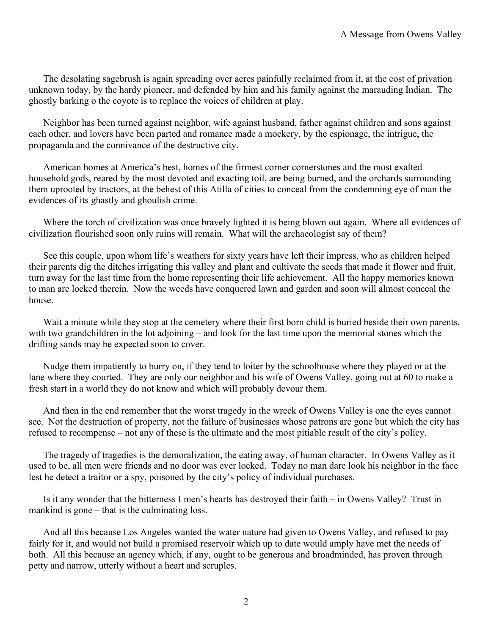The desolating sagebrush is again spreading over acres painfully reclaimed from it, at the cost of privation unknown today, by the hardy pioneer, and defended by him and his family against the marauding Indian. The ghostly barking o the coyote is to replace the voices of children at play.

Neighbor has been turned against neighbor, wife against husband, father against children and sons against each other, and lovers have been parted and romance made a mockery, by the espionage, the intrigue, the propaganda and the connivance of the destructive city.

American homes at America's best, homes of the firmest corner cornerstones and the most exalted household gods, reared by the most devoted and exacting toil, are being burned, and the orchards surrounding them uprooted by tractors, at the behest of this Atilla of cities to conceal from the condemning eye of man the evidences of its ghastly and ghoulish crime.

Where the torch of civilization was once bravely lighted it is being blown out again. Where all evidences of civilization flourished soon only ruins will remain. What will the archaeologist say of them?

See this couple, upon whom life's weathers for sixty years have left their impress, who as children helped their parents dig the ditches irrigating this valley and plant and cultivate the seeds that made it flower and fruit, turn away for the last time from the home representing their life achievement. All the happy memories known to man are locked therein. Now the weeds have conquered lawn and garden and soon will almost conceal the house.

Wait a minute while they stop at the cemetery where their first born child is buried beside their own parents, with two grandchildren in the lot adjoining – and look for the last time upon the memorial stones which the drifting sands may be expected soon to cover.

Nudge them impatiently to burry on, if they tend to loiter by the schoolhouse where they played or at the lane where they courted. They are only our neighbor and his wife of Owens Valley, going out at 60 to make a fresh start in a world they do not know and which will probably devour them.

And then in the end remember that the worst tragedy in the wreck of Owens Valley is one the eyes cannot see. Not the destruction of property, not the failure of businesses whose patrons are gone but which the city has refused to recompense – not any of these is the ultimate and the most pitiable result of the city's policy.

The tragedy of tragedies is the demoralization, the eating away, of human character. In Owens Valley as it used to be, all men were friends and no door was ever locked. Today no man dare look his neighbor in the face lest he detect a traitor or a spy, poisoned by the city's policy of individual purchases.

Is it any wonder that the bitterness I men's hearts has destroyed their faith – in Owens Valley? Trust in mankind is gone – that is the culminating loss.

And all this because Los Angeles wanted the water nature had given to Owens Valley, and refused to pay fairly for it, and would not build a promised reservoir which up to date would amply have met the needs of both. All this because an agency which, if any, ought to be generous and broadminded, has proven through petty and narrow, utterly without a heart and scruples.